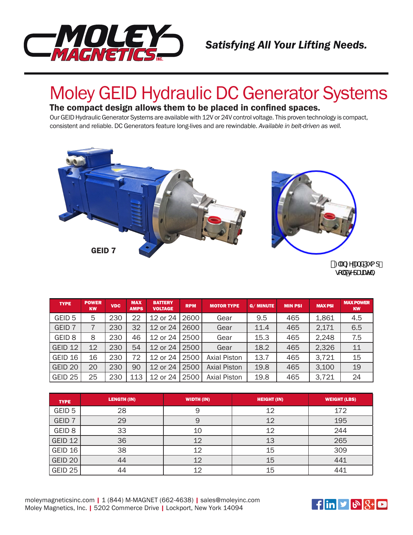

## Moley GEID Hydraulic DC Generator Systems

#### The compact design allows them to be placed in confined spaces.

Our GEID Hydraulic Generator Systems are available with 12V or 24V control voltage. This proven technology is compact, consistent and reliable. DC Generators feature long-lives and are rewindable. *Available in belt-driven as well.* 



t: Ub[YUbXDiad" gc`XgYdUfUYm

| <b>TYPE</b>        | <b>POWER</b><br><b>KW</b> | <b>VDC</b> | <b>MAX</b><br><b>AMPS</b> | <b>BATTERY</b><br><b>VOLTAGE</b> | <b>RPM</b> | <b>MOTOR TYPE</b>   | <b>G/MINUTE</b> | <b>MIN PSI</b> | <b>MAX PSI</b> | <b>MAX POWER</b><br><b>KW</b> |
|--------------------|---------------------------|------------|---------------------------|----------------------------------|------------|---------------------|-----------------|----------------|----------------|-------------------------------|
| GEID <sub>5</sub>  | 5                         | 230        | 22                        | 12 or 24                         | 2600       | Gear                | 9.5             | 465            | 1,861          | 4.5                           |
| GEID <sub>7</sub>  |                           | 230        | 32                        | 12 or 24                         | 2600       | Gear                | 11.4            | 465            | 2,171          | 6.5                           |
| GEID <sub>8</sub>  | 8                         | 230        | 46                        | 12 or 24                         | 2500       | Gear                | 15.3            | 465            | 2,248          | 7.5                           |
| GEID <sub>12</sub> | 12                        | 230        | 54                        | 12 or 24                         | 2500       | Gear                | 18.2            | 465            | 2,326          | 11                            |
| GEID 16            | 16                        | 230        | 72                        | 12 or 24                         | 2500       | <b>Axial Piston</b> | 13.7            | 465            | 3.721          | 15                            |
| GEID <sub>20</sub> | 20                        | 230        | 90                        | 12 or 24                         | 2500       | <b>Axial Piston</b> | 19.8            | 465            | 3.100          | 19                            |
| GEID <sub>25</sub> | 25                        | 230        | 113                       | 12 or 24                         | 2500       | <b>Axial Piston</b> | 19.8            | 465            | 3,721          | 24                            |

| <b>TYPE</b>       | <b>LENGTH (IN)</b> | <b>WIDTH (IN)</b> | <b>HEIGHT (IN)</b> | <b>WEIGHT (LBS)</b> |
|-------------------|--------------------|-------------------|--------------------|---------------------|
| GEID <sub>5</sub> | 28                 |                   | 12                 | 172                 |
| GEID <sub>7</sub> | 29                 |                   | 12                 | 195                 |
| GEID <sub>8</sub> | 33                 | 10                | 12                 | 244                 |
| GEID 12           | 36                 | 12                | 13                 | 265                 |
| GEID 16           | 38                 | 12                | 15                 | 309                 |
| GEID 20           | 44                 | 12                | 15                 | 441                 |
| GEID 25           | 44                 | 12                | 15                 | 441                 |